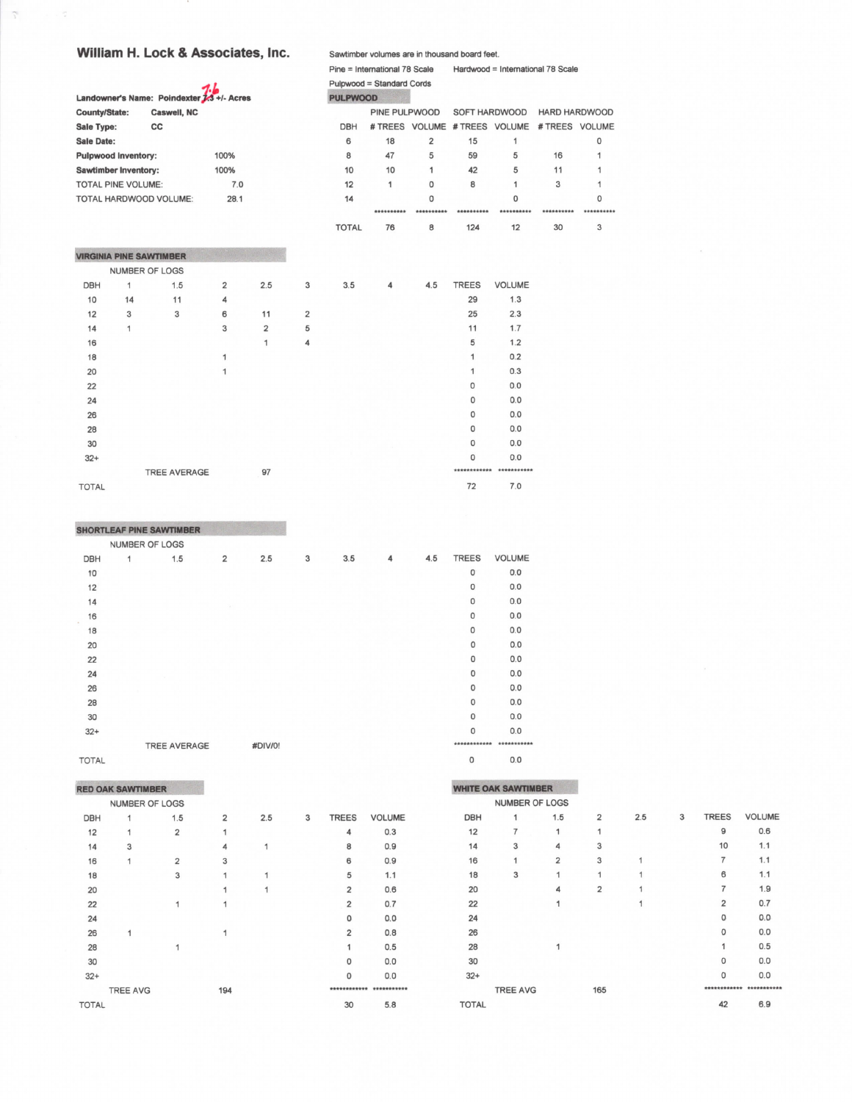## William H. Lock & Associates, Inc.

 $\widetilde{\mathcal{C}}$ 

|                             |    |                                            |                |                |   |                 | Pulpwood = Standard Cords |                |                               |             |                      |             |
|-----------------------------|----|--------------------------------------------|----------------|----------------|---|-----------------|---------------------------|----------------|-------------------------------|-------------|----------------------|-------------|
|                             |    | Landowner's Name: Poindexter 7.3 +/- Acres |                |                |   | <b>PULPWOOD</b> |                           |                |                               |             |                      |             |
| <b>County/State:</b>        |    | Caswell, NC                                |                |                |   |                 | PINE PULPWOOD             |                | SOFT HARDWOOD                 |             | <b>HARD HARDWOOD</b> |             |
| Sale Type:                  |    | cc                                         |                |                |   | <b>DBH</b>      |                           |                | # TREES VOLUME # TREES VOLUME |             | # TREES VOLUME       |             |
| <b>Sale Date:</b>           |    |                                            |                |                |   | 6               | 18                        | $\overline{2}$ | 15                            | 1           |                      | $\mathbf 0$ |
| <b>Pulpwood Inventory:</b>  |    |                                            | 100%           |                |   | 8               | 47                        | 5              | 59                            | 5           | 16                   | 1           |
| <b>Sawtimber Inventory:</b> |    |                                            | 100%           |                |   | 10              | 10                        | 1              | 42                            | 5           | 11                   | 1           |
| <b>TOTAL PINE VOLUME:</b>   |    |                                            | 7.0            |                |   | 12              | 1                         | 0              | 8                             | 1           | 3                    | 1           |
|                             |    | TOTAL HARDWOOD VOLUME:                     | 28.1           |                |   | 14              |                           | 0              |                               | $\Omega$    |                      | 0           |
|                             |    |                                            |                |                |   |                 | **********                | **********     | **********                    | **********  | **********           | *********   |
|                             |    |                                            |                |                |   | <b>TOTAL</b>    | 76                        | 8              | 124                           | 12          | 30                   | 3           |
|                             |    | <b>VIRGINIA PINE SAWTIMBER</b>             |                |                |   |                 |                           |                |                               |             |                      |             |
|                             |    | NUMBER OF LOGS                             |                |                |   |                 |                           |                |                               |             |                      |             |
| <b>DBH</b>                  | 1  | 1.5                                        | $\overline{2}$ | 2.5            | 3 | 3.5             | 4                         | 4.5            | <b>TREES</b>                  | VOLUME      |                      |             |
| 10                          | 14 | 11                                         | 4              |                |   |                 |                           |                | 29                            | 1.3         |                      |             |
| 12                          | 3  | 3                                          | 6              | 11             | 2 |                 |                           |                | 25                            | 2.3         |                      |             |
| 14                          | 1  |                                            | 3              | $\overline{2}$ | 5 |                 |                           |                | 11                            | 1.7         |                      |             |
| 16                          |    |                                            |                | 1              | 4 |                 |                           |                | 5                             | 1.2         |                      |             |
| 18                          |    |                                            | 1              |                |   |                 |                           |                | 1                             | 0.2         |                      |             |
| 20                          |    |                                            | 1              |                |   |                 |                           |                | 1                             | 0.3         |                      |             |
| 22                          |    |                                            |                |                |   |                 |                           |                | 0                             | 0.0         |                      |             |
| 24                          |    |                                            |                |                |   |                 |                           |                | 0                             | 0.0         |                      |             |
| 26                          |    |                                            |                |                |   |                 |                           |                | 0                             | 0.0         |                      |             |
| 28                          |    |                                            |                |                |   |                 |                           |                | 0                             | 0.0         |                      |             |
| 30                          |    |                                            |                |                |   |                 |                           |                | $\circ$                       | 0.0         |                      |             |
| $32+$                       |    |                                            |                |                |   |                 |                           |                | 0                             | 0.0         |                      |             |
|                             |    | <b>TREE AVERAGE</b>                        |                | 97             |   |                 |                           |                | ***********                   | *********** |                      |             |
| <b>TOTAL</b>                |    |                                            |                |                |   |                 |                           |                | 72                            | 7.0         |                      |             |

Sawtimber volumes are in thousand board feet.

Pine = International 78 Scale Hardwood = International 78 Scale

|              | <b>SHORTLEAF PINE SAWTIMBER</b> |                |         |   |     |   |     |              |               |
|--------------|---------------------------------|----------------|---------|---|-----|---|-----|--------------|---------------|
|              | NUMBER OF LOGS                  |                |         |   |     |   |     |              |               |
| <b>DBH</b>   | 1<br>1.5                        | $\overline{2}$ | 2.5     | 3 | 3.5 | 4 | 4.5 | <b>TREES</b> | <b>VOLUME</b> |
| 10           |                                 |                |         |   |     |   |     | $\circ$      | 0.0           |
| 12           |                                 |                |         |   |     |   |     | $\circ$      | 0.0           |
| 14           |                                 |                |         |   |     |   |     | 0            | 0.0           |
| 16           |                                 |                |         |   |     |   |     | $\mathbf 0$  | 0.0           |
| 18           |                                 |                |         |   |     |   |     | $\mathbf 0$  | 0.0           |
| 20           |                                 |                |         |   |     |   |     | $\circ$      | 0.0           |
| 22           |                                 |                |         |   |     |   |     | 0            | 0.0           |
| 24           |                                 |                |         |   |     |   |     | $\mathbf 0$  | 0.0           |
| 26           |                                 |                |         |   |     |   |     | $\circ$      | 0.0           |
| 28           |                                 |                |         |   |     |   |     | $\mathbf 0$  | 0.0           |
| 30           |                                 |                |         |   |     |   |     | 0            | 0.0           |
| $32+$        |                                 |                |         |   |     |   |     | $\mathbf 0$  | 0.0           |
|              | <b>TREE AVERAGE</b>             |                | #DIV/0! |   |     |   |     |              |               |
| <b>TOTAL</b> |                                 |                |         |   |     |   |     | 0            | 0.0           |

## **RED OAK SAWTIMBER**

|              | <b>NUMBER OF LOGS</b> |                |                |     |   |                |               |  |
|--------------|-----------------------|----------------|----------------|-----|---|----------------|---------------|--|
| <b>DBH</b>   | 1                     | 1.5            | $\overline{2}$ | 2.5 | 3 | <b>TREES</b>   | <b>VOLUME</b> |  |
| 12           | 1                     | $\overline{2}$ | 1              |     |   | 4              | 0.3           |  |
| 14           | 3                     |                | $\overline{4}$ | 1   |   | 8              | 0.9           |  |
| 16           | 1                     | $\overline{2}$ | 3              |     |   | 6              | 0.9           |  |
| 18           |                       | 3              | 1              | 1   |   | 5              | 1.1           |  |
| 20           |                       |                | 1              | 1   |   | $\overline{2}$ | 0.6           |  |
| 22           |                       |                | 1              |     |   | $\overline{2}$ | 0.7           |  |
| 24           |                       |                |                |     |   | 0              | 0.0           |  |
| 26           | 1                     |                | 1              |     |   | $\overline{2}$ | 0.8           |  |
| 28           |                       | 1              |                |     |   | 1              | 0.5           |  |
| 30           |                       |                |                |     |   | $\Omega$       | 0.0           |  |
| $32+$        |                       |                |                |     |   | $\Omega$       | 0.0           |  |
|              | <b>TREE AVG</b>       |                | 194            |     |   |                | ********      |  |
| <b>TOTAL</b> |                       |                |                |     |   | 30             | 5.8           |  |
|              |                       |                |                |     |   |                |               |  |

|            | <b>WHITE OAK SAWTIMBER</b> |                |                |     |   |                |               |
|------------|----------------------------|----------------|----------------|-----|---|----------------|---------------|
|            | NUMBER OF LOGS             |                |                |     |   |                |               |
| <b>DBH</b> | 1                          | 1.5            | $\overline{2}$ | 2.5 | 3 | <b>TREES</b>   | <b>VOLUME</b> |
| 12         | 7                          | 1              | 1              |     |   | 9              | 0.6           |
| 14         | 3                          | 4              | 3              |     |   | 10             | 1.1           |
| 16         | 1                          | $\overline{2}$ | 3              | 1   |   | 7              | 1.1           |
| 18         | 3                          | 1              | 1              |     |   | 6              | 1.1           |
| 20         |                            | 4              | $\overline{2}$ |     |   | 7              | 1.9           |
| 22         |                            | 1              |                | 1   |   | $\overline{2}$ | 0.7           |
| 24         |                            |                |                |     |   | 0              | 0.0           |
| 26         |                            |                |                |     |   | $\Omega$       | 0.0           |
| 28         |                            | 1              |                |     |   | 1              | 0.5           |
| 30         |                            |                |                |     |   | $\Omega$       | 0.0           |
| $32+$      |                            |                |                |     |   | $\Omega$       | 0.0           |
|            | <b>TREE AVG</b>            |                | 165            |     |   |                |               |

**TOTAL** 

 $6.9$ 

 $42$